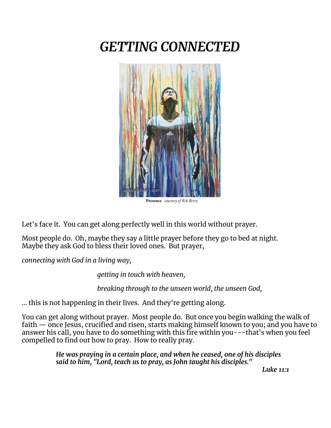# *GETTING CONNECTED*



**Presence** *courtesy of Rik Berry*

Let's face it. You can get along perfectly well in this world without prayer.

Most people do. Oh, maybe they say a little prayer before they go to bed at night. Maybe they ask God to bless their loved ones. But prayer,

*connecting with God in a living way,*

*getting in touch with heaven,*

*breaking through to the unseen world, the unseen God,*

… this is not happening in their lives. And they're getting along.

You can get along without prayer. Most people do. But once you begin walking the walk of faith — once Jesus, crucified and risen, starts making himself known to you; and you have to answer his call, you have to do something with this fire within you---that's when you feel compelled to find out how to pray. How to really pray.

> *He was praying in a certain place, and when he ceased, one of his disciples said to him, "Lord, teach us to pray, as John taught his disciples."*

*Luke 11:1*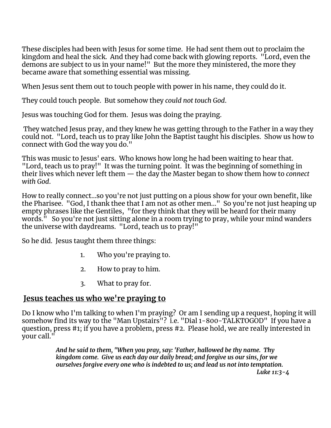These disciples had been with Jesus for some time. He had sent them out to proclaim the kingdom and heal the sick. And they had come back with glowing reports. "Lord, even the demons are subject to us in your name!" But the more they ministered, the more they became aware that something essential was missing.

When Jesus sent them out to touch people with power in his name, they could do it.

They could touch people. But somehow they *could not touch God*.

Jesus was touching God for them. Jesus was doing the praying.

They watched Jesus pray, and they knew he was getting through to the Father in a way they could not. "Lord, teach us to pray like John the Baptist taught his disciples. Show us how to connect with God the way you do."

This was music to Jesus' ears. Who knows how long he had been waiting to hear that. "Lord, teach us to pray!" It was the turning point. It was the beginning of something in their lives which never left them — the day the Master began to show them how to *connect with God*.

How to really connect…so you're not just putting on a pious show for your own benefit, like the Pharisee. "God, I thank thee that I am not as other men…" So you're not just heaping up empty phrases like the Gentiles, "for they think that they will be heard for their many words." So you're not just sitting alone in a room trying to pray, while your mind wanders the universe with daydreams. "Lord, teach us to pray!"

So he did. Jesus taught them three things:

- 1. Who you're praying to.
- 2. How to pray to him.
- 3. What to pray for.

## **Jesus teaches us who we're praying to**

Do I know who I'm talking to when I'm praying? Or am I sending up a request, hoping it will somehow find its way to the "Man Upstairs"? i.e. "Dial 1-800-TALKTOGOD" If you have a question, press #1; if you have a problem, press #2. Please hold, we are really interested in your call."

> *And he said to them, "When you pray, say: 'Father, hallowed be thy name. Thy kingdom come. Give us each day our daily bread; and forgive us our sins, for we ourselves forgive every one who is indebted to us; and lead us not into temptation. Luke 11:3-4*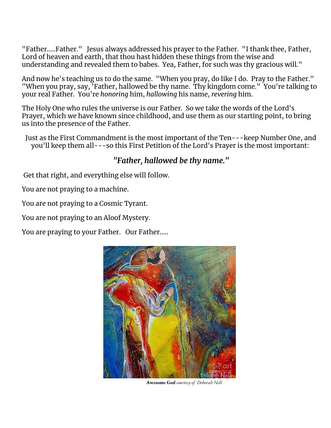"Father…..Father." Jesus always addressed his prayer to the Father. "I thank thee, Father, Lord of heaven and earth, that thou hast hidden these things from the wise and understanding and revealed them to babes. Yea, Father, for such was thy gracious will."

And now he's teaching us to do the same. "When you pray, do like I do. Pray to the Father." "When you pray, say, 'Father, hallowed be thy name. Thy kingdom come." You're talking to your real Father. You're *honoring* him, *hallowing* his name, *revering* him.

The Holy One who rules the universe is our Father. So we take the words of the Lord's Prayer, which we have known since childhood, and use them as our starting point, to bring us into the presence of the Father.

Just as the First Commandment is the most important of the Ten---keep Number One, and you'll keep them all---so this First Petition of the Lord's Prayer is the most important:

#### *"Father, hallowed be thy name."*

Get that right, and everything else will follow.

You are not praying to a machine.

You are not praying to a Cosmic Tyrant.

You are not praying to an Aloof Mystery.

You are praying to your Father. Our Father…..



**Awesome God** *courtesy of Deborah Nell*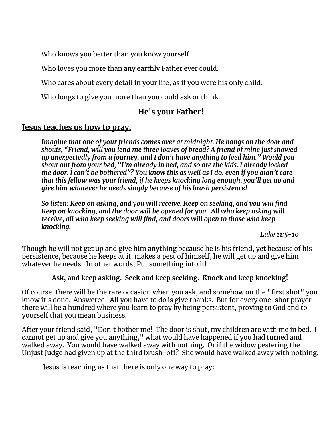Who knows you better than you know yourself.

Who loves you more than any earthly Father ever could.

Who cares about every detail in your life, as if you were his only child.

Who longs to give you more than you could ask or think.

## **He's your Father!**

#### **Jesus teaches us how to pray.**

*Imagine that one of your friends comes over at midnight. He bangs on the door and shouts, "Friend, will you lend me three loaves of bread? A friend of mine just showed up unexpectedly from a journey, and I don't have anything to feed him." Would you shout out from your bed, "I'm already in bed, and so are the kids. I already locked the door. I can't be bothered"? You know this as well as I do: even if you didn't care that this fellow was your friend, if he keeps knocking long enough, you'll get up and give him whatever he needs simply because of his brash persistence!*

*So listen: Keep on asking, and you will receive. Keep on seeking, and you will find. Keep on knocking, and the door will be opened for you. All who keep asking will receive, all who keep seeking will find, and doors will open to those who keep knocking.*

*Luke 11:5-10*

Though he will not get up and give him anything because he is his friend, yet because of his persistence, because he keeps at it, makes a pest of himself, he will get up and give him whatever he needs. In other words, Put something into it!

#### **Ask, and keep asking. Seek and keep seeking. Knock and keep knocking!**

Of course, there will be the rare occasion when you ask, and somehow on the "first shot" you know it's done. Answered. All you have to do is give thanks. But for every one-shot prayer there will be a hundred where you learn to pray by being persistent, proving to God and to yourself that you mean business.

After your friend said, "Don't bother me! The door is shut, my children are with me in bed. I cannot get up and give you anything," what would have happened if you had turned and walked away. You would have walked away with nothing. Or if the widow pestering the Unjust Judge had given up at the third brush-off? She would have walked away with nothing.

Jesus is teaching us that there is only one way to pray: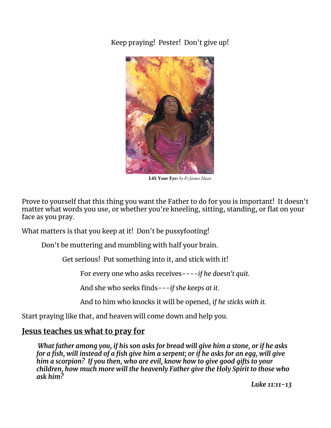Keep praying! Pester! Don't give up!



**Lift Your Eye**s *by Fr James Hasse*

Prove to yourself that this thing you want the Father to do for you is important! It doesn't matter what words you use, or whether you're kneeling, sitting, standing, or flat on your face as you pray.

What matters is that you keep at it! Don't be pussyfooting!

Don't be muttering and mumbling with half your brain.

Get serious! Put something into it, and stick with it!

For every one who asks receives---*-if he doesn't quit.*

And she who seeks finds---*if she keeps at it.*

And to him who knocks it will be opened, *if he sticks with it.*

Start praying like that, and heaven will come down and help you.

#### **Jesus teaches us what to pray for**

*What father among you, if his son asks for bread will give him a stone, or if he asks* for a fish, will instead of a fish give him a serpent; or if he asks for an egg, will give *him a scorpion? If you then, who are evil, know how to give good gifts to your children, how much more will the heavenly Father give the Holy Spirit to those who ask him?*

*Luke 11:11-13*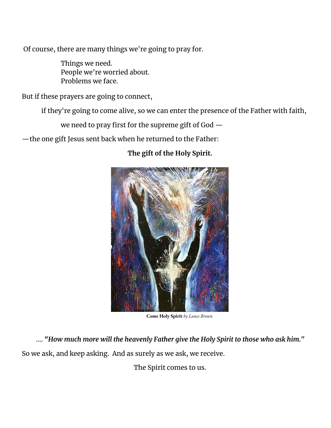Of course, there are many things we're going to pray for.

Things we need. People we're worried about. Problems we face.

But if these prayers are going to connect,

if they're going to come alive, so we can enter the presence of the Father with faith,

we need to pray first for the supreme gift of God —

—the one gift Jesus sent back when he returned to the Father:

### **The gift of the Holy Spirit.**



**Come Holy Spirit** *by Lance Brown*

…. *"How much more will the heavenly Father give the Holy Spirit to those who ask him."*

So we ask, and keep asking. And as surely as we ask, we receive.

The Spirit comes to us.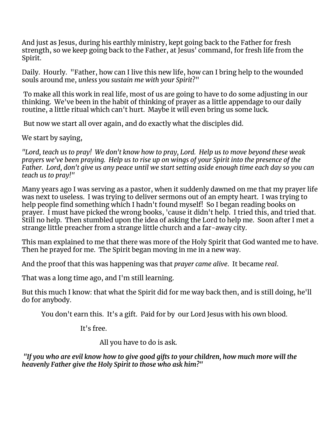And just as Jesus, during his earthly ministry, kept going back to the Father for fresh strength, so we keep going back to the Father, at Jesus' command, for fresh life from the Spirit.

Daily. Hourly. "Father, how can I live this new life, how can I bring help to the wounded souls around me, *unless you sustain me with your Spirit*?"

To make all this work in real life, most of us are going to have to do some adjusting in our thinking. We've been in the habit of thinking of prayer as a little appendage to our daily routine, a little ritual which can't hurt. Maybe it will even bring us some luck.

But now we start all over again, and do exactly what the disciples did.

We start by saying,

*"Lord, teach us to pray! We don't know how to pray, Lord. Help us to move beyond these weak* prayers we've been praying. Help us to rise up on wings of your Spirit into the presence of the .<br>Father. Lord, don't give us any peace until we start setting aside enough time each day so you can *teach us to pray!"*

Many years ago I was serving as a pastor, when it suddenly dawned on me that my prayer life was next to useless. I was trying to deliver sermons out of an empty heart. I was trying to help people find something which I hadn't found myself! So I began reading books on prayer. I must have picked the wrong books, 'cause it didn't help. I tried this, and tried that. Still no help. Then stumbled upon the idea of asking the Lord to help me. Soon after I met a strange little preacher from a strange little church and a far-away city.

This man explained to me that there was more of the Holy Spirit that God wanted me to have. Then he prayed for me. The Spirit began moving in me in a new way.

And the proof that this was happening was that *prayer came alive*. It became *real*.

That was a long time ago, and I'm still learning.

But this much I know: that what the Spirit did for me way back then, and is still doing, he'll do for anybody.

You don't earn this. It's a gift. Paid for by our Lord Jesus with his own blood.

It's free.

All you have to do is ask.

*"If you who are evil know how to give good gifts to your children, how much more will the heavenly Father give the Holy Spirit to those who ask him?"*